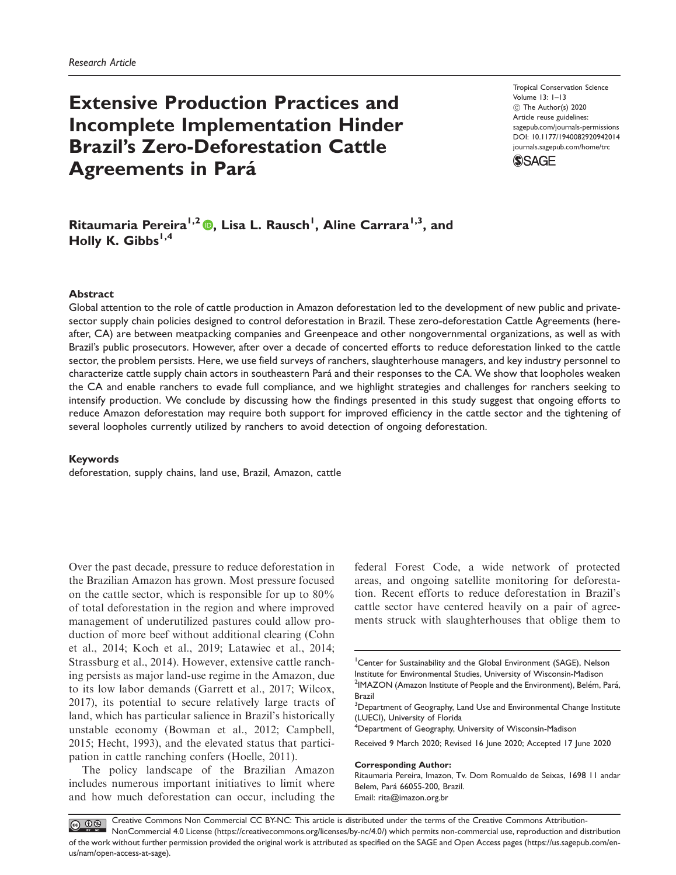# Extensive Production Practices and Incomplete Implementation Hinder Brazil's Zero-Deforestation Cattle Agreements in Pará

Tropical Conservation Science Volume 13: 1–13 C The Author(s) 2020 Article reuse guidelines: [sagepub.com/journals-permissions](http://us.sagepub.com/en-us/journals-permissions) [DOI: 10.1177/1940082920942014](http://dx.doi.org/10.1177/1940082920942014) <journals.sagepub.com/home/trc>



Ritaumaria Pereira<sup>1,2</sup> (®, Lisa L. Rausch<sup>1</sup>, Aline Carrara<sup>1,3</sup>, and Holly K. Gibbs<sup>1,4</sup>

### Abstract

Global attention to the role of cattle production in Amazon deforestation led to the development of new public and privatesector supply chain policies designed to control deforestation in Brazil. These zero-deforestation Cattle Agreements (hereafter, CA) are between meatpacking companies and Greenpeace and other nongovernmental organizations, as well as with Brazil's public prosecutors. However, after over a decade of concerted efforts to reduce deforestation linked to the cattle sector, the problem persists. Here, we use field surveys of ranchers, slaughterhouse managers, and key industry personnel to characterize cattle supply chain actors in southeastern Para´ and their responses to the CA. We show that loopholes weaken the CA and enable ranchers to evade full compliance, and we highlight strategies and challenges for ranchers seeking to intensify production. We conclude by discussing how the findings presented in this study suggest that ongoing efforts to reduce Amazon deforestation may require both support for improved efficiency in the cattle sector and the tightening of several loopholes currently utilized by ranchers to avoid detection of ongoing deforestation.

#### Keywords

deforestation, supply chains, land use, Brazil, Amazon, cattle

Over the past decade, pressure to reduce deforestation in the Brazilian Amazon has grown. Most pressure focused on the cattle sector, which is responsible for up to 80% of total deforestation in the region and where improved management of underutilized pastures could allow production of more beef without additional clearing (Cohn et al., 2014; Koch et al., 2019; Latawiec et al., 2014; Strassburg et al., 2014). However, extensive cattle ranching persists as major land-use regime in the Amazon, due to its low labor demands (Garrett et al., 2017; Wilcox, 2017), its potential to secure relatively large tracts of land, which has particular salience in Brazil's historically unstable economy (Bowman et al., 2012; Campbell, 2015; Hecht, 1993), and the elevated status that participation in cattle ranching confers (Hoelle, 2011).

The policy landscape of the Brazilian Amazon includes numerous important initiatives to limit where and how much deforestation can occur, including the

federal Forest Code, a wide network of protected areas, and ongoing satellite monitoring for deforestation. Recent efforts to reduce deforestation in Brazil's cattle sector have centered heavily on a pair of agreements struck with slaughterhouses that oblige them to

4 Department of Geography, University of Wisconsin-Madison

Received 9 March 2020; Revised 16 June 2020; Accepted 17 June 2020

#### Corresponding Author:

Ritaumaria Pereira, Imazon, Tv. Dom Romualdo de Seixas, 1698 11 andar Belem, Para´ 66055-200, Brazil. Email: [rita@imazon.org.br](mailto:rita@imazon.org.br)

Creative Commons Non Commercial CC BY-NC: This article is distributed under the terms of the Creative Commons Attribution- $\odot$   $\odot$ NonCommercial 4.0 License (https://creativecommons.org/licenses/by-nc/4.0/) which permits non-commercial use, reproduction and distribution of the work without further permission provided the original work is attributed as specified on the SAGE and Open Access pages (https://us.sagepub.com/enus/nam/open-access-at-sage).

<sup>&</sup>lt;sup>1</sup> Center for Sustainability and the Global Environment (SAGE), Nelson Institute for Environmental Studies, University of Wisconsin-Madison <sup>2</sup>IMAZON (Amazon Institute of People and the Environment), Belém, Pará, Brazil

 $3$ Department of Geography, Land Use and Environmental Change Institute (LUECI), University of Florida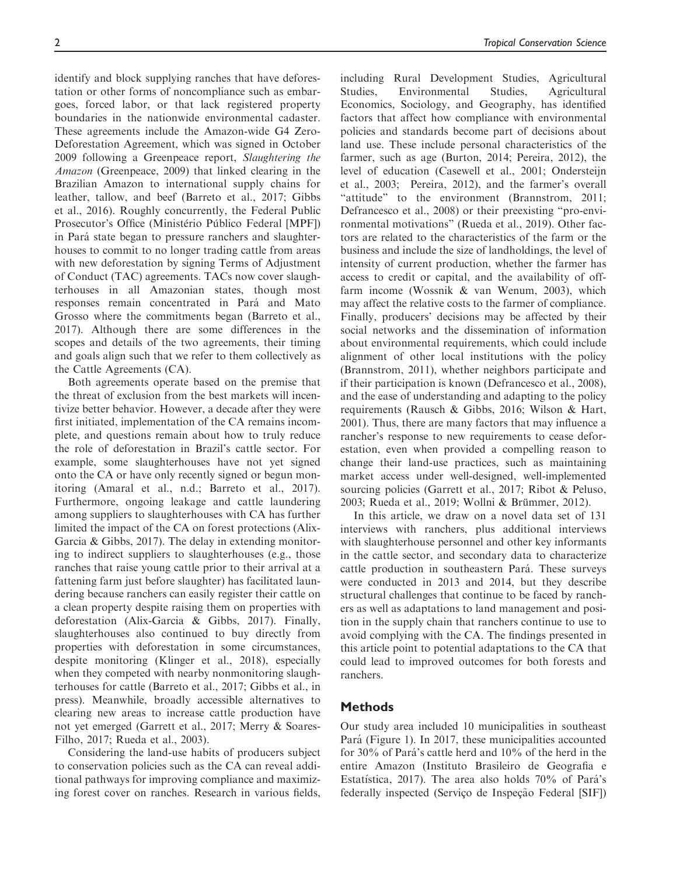identify and block supplying ranches that have deforestation or other forms of noncompliance such as embargoes, forced labor, or that lack registered property boundaries in the nationwide environmental cadaster. These agreements include the Amazon-wide G4 Zero-Deforestation Agreement, which was signed in October 2009 following a Greenpeace report, Slaughtering the Amazon (Greenpeace, 2009) that linked clearing in the Brazilian Amazon to international supply chains for leather, tallow, and beef (Barreto et al., 2017; Gibbs et al., 2016). Roughly concurrently, the Federal Public Prosecutor's Office (Ministério Público Federal [MPF]) in Pará state began to pressure ranchers and slaughterhouses to commit to no longer trading cattle from areas with new deforestation by signing Terms of Adjustment of Conduct (TAC) agreements. TACs now cover slaughterhouses in all Amazonian states, though most responses remain concentrated in Pará and Mato Grosso where the commitments began (Barreto et al., 2017). Although there are some differences in the scopes and details of the two agreements, their timing and goals align such that we refer to them collectively as

the Cattle Agreements (CA). Both agreements operate based on the premise that the threat of exclusion from the best markets will incentivize better behavior. However, a decade after they were first initiated, implementation of the CA remains incomplete, and questions remain about how to truly reduce the role of deforestation in Brazil's cattle sector. For example, some slaughterhouses have not yet signed onto the CA or have only recently signed or begun monitoring (Amaral et al., n.d.; Barreto et al., 2017). Furthermore, ongoing leakage and cattle laundering among suppliers to slaughterhouses with CA has further limited the impact of the CA on forest protections (Alix-Garcia & Gibbs, 2017). The delay in extending monitoring to indirect suppliers to slaughterhouses (e.g., those ranches that raise young cattle prior to their arrival at a fattening farm just before slaughter) has facilitated laundering because ranchers can easily register their cattle on a clean property despite raising them on properties with deforestation (Alix-Garcia & Gibbs, 2017). Finally, slaughterhouses also continued to buy directly from properties with deforestation in some circumstances, despite monitoring (Klinger et al., 2018), especially when they competed with nearby nonmonitoring slaughterhouses for cattle (Barreto et al., 2017; Gibbs et al., in press). Meanwhile, broadly accessible alternatives to clearing new areas to increase cattle production have not yet emerged (Garrett et al., 2017; Merry & Soares-Filho, 2017; Rueda et al., 2003).

Considering the land-use habits of producers subject to conservation policies such as the CA can reveal additional pathways for improving compliance and maximizing forest cover on ranches. Research in various fields, Studies, Environmental Studies, Agricultural Economics, Sociology, and Geography, has identified factors that affect how compliance with environmental policies and standards become part of decisions about land use. These include personal characteristics of the farmer, such as age (Burton, 2014; Pereira, 2012), the level of education (Casewell et al., 2001; Ondersteijn et al., 2003; Pereira, 2012), and the farmer's overall "attitude" to the environment (Brannstrom, 2011; Defrancesco et al., 2008) or their preexisting "pro-environmental motivations" (Rueda et al., 2019). Other factors are related to the characteristics of the farm or the business and include the size of landholdings, the level of intensity of current production, whether the farmer has access to credit or capital, and the availability of offfarm income (Wossnik & van Wenum, 2003), which may affect the relative costs to the farmer of compliance. Finally, producers' decisions may be affected by their social networks and the dissemination of information about environmental requirements, which could include alignment of other local institutions with the policy (Brannstrom, 2011), whether neighbors participate and if their participation is known (Defrancesco et al., 2008), and the ease of understanding and adapting to the policy requirements (Rausch & Gibbs, 2016; Wilson & Hart, 2001). Thus, there are many factors that may influence a rancher's response to new requirements to cease deforestation, even when provided a compelling reason to change their land-use practices, such as maintaining market access under well-designed, well-implemented sourcing policies (Garrett et al., 2017; Ribot & Peluso, 2003; Rueda et al., 2019; Wollni & Brümmer, 2012).

In this article, we draw on a novel data set of 131 interviews with ranchers, plus additional interviews with slaughterhouse personnel and other key informants in the cattle sector, and secondary data to characterize cattle production in southeastern Pará. These surveys were conducted in 2013 and 2014, but they describe structural challenges that continue to be faced by ranchers as well as adaptations to land management and position in the supply chain that ranchers continue to use to avoid complying with the CA. The findings presented in this article point to potential adaptations to the CA that could lead to improved outcomes for both forests and ranchers.

# Methods

Our study area included 10 municipalities in southeast Pará (Figure 1). In 2017, these municipalities accounted for 30% of Para´'s cattle herd and 10% of the herd in the entire Amazon (Instituto Brasileiro de Geografia e Estatística, 2017). The area also holds  $70\%$  of Pará's federally inspected (Serviço de Inspeção Federal [SIF])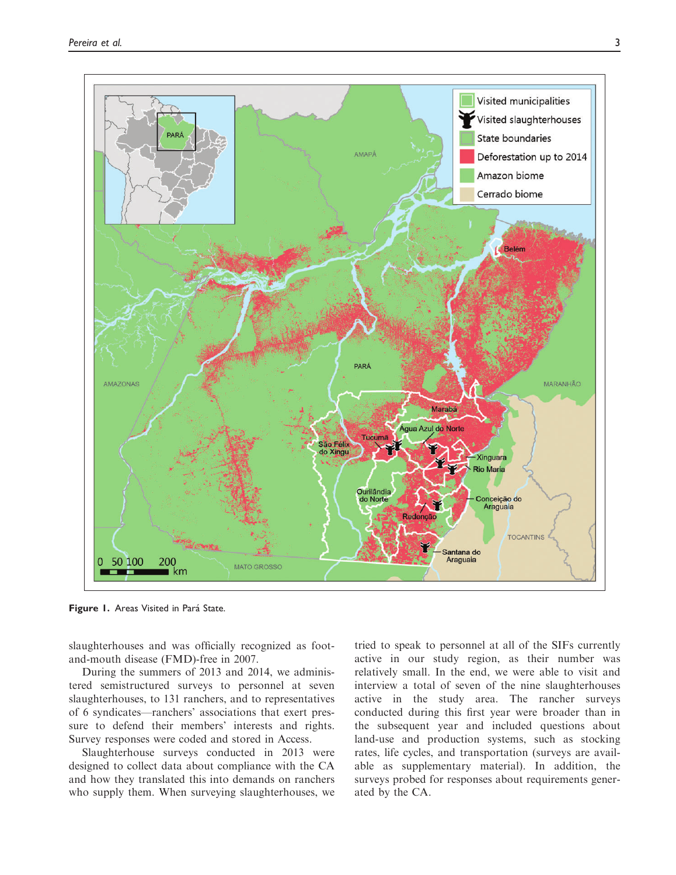

Figure 1. Areas Visited in Pará State.

slaughterhouses and was officially recognized as footand-mouth disease (FMD)-free in 2007.

During the summers of 2013 and 2014, we administered semistructured surveys to personnel at seven slaughterhouses, to 131 ranchers, and to representatives of 6 syndicates—ranchers' associations that exert pressure to defend their members' interests and rights. Survey responses were coded and stored in Access.

Slaughterhouse surveys conducted in 2013 were designed to collect data about compliance with the CA and how they translated this into demands on ranchers who supply them. When surveying slaughterhouses, we

tried to speak to personnel at all of the SIFs currently active in our study region, as their number was relatively small. In the end, we were able to visit and interview a total of seven of the nine slaughterhouses active in the study area. The rancher surveys conducted during this first year were broader than in the subsequent year and included questions about land-use and production systems, such as stocking rates, life cycles, and transportation (surveys are available as supplementary material). In addition, the surveys probed for responses about requirements generated by the CA.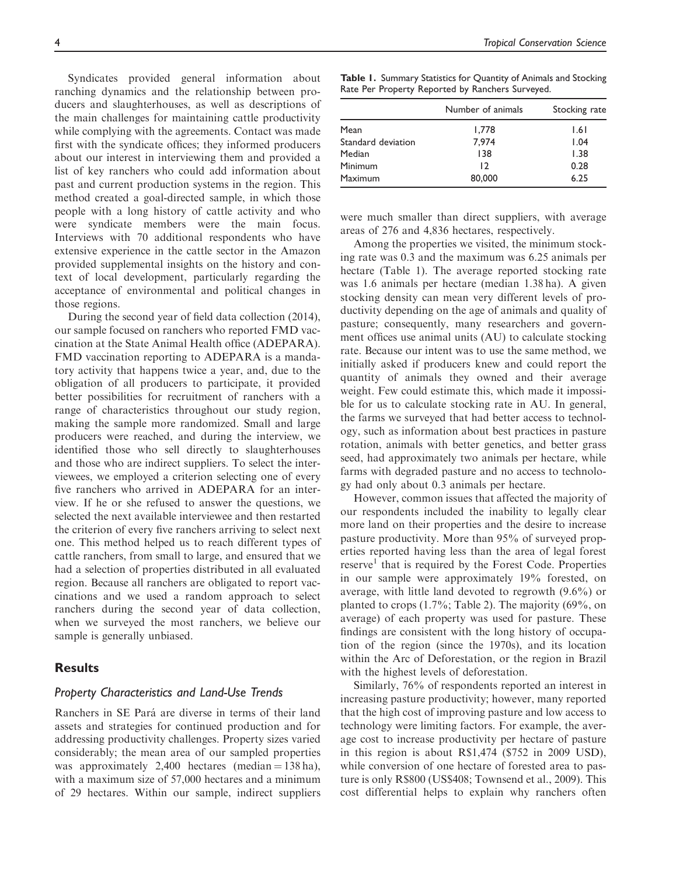Syndicates provided general information about ranching dynamics and the relationship between producers and slaughterhouses, as well as descriptions of the main challenges for maintaining cattle productivity while complying with the agreements. Contact was made first with the syndicate offices; they informed producers about our interest in interviewing them and provided a list of key ranchers who could add information about past and current production systems in the region. This method created a goal-directed sample, in which those people with a long history of cattle activity and who were syndicate members were the main focus. Interviews with 70 additional respondents who have extensive experience in the cattle sector in the Amazon provided supplemental insights on the history and context of local development, particularly regarding the acceptance of environmental and political changes in those regions.

During the second year of field data collection (2014), our sample focused on ranchers who reported FMD vaccination at the State Animal Health office (ADEPARA). FMD vaccination reporting to ADEPARA is a mandatory activity that happens twice a year, and, due to the obligation of all producers to participate, it provided better possibilities for recruitment of ranchers with a range of characteristics throughout our study region, making the sample more randomized. Small and large producers were reached, and during the interview, we identified those who sell directly to slaughterhouses and those who are indirect suppliers. To select the interviewees, we employed a criterion selecting one of every five ranchers who arrived in ADEPARA for an interview. If he or she refused to answer the questions, we selected the next available interviewee and then restarted the criterion of every five ranchers arriving to select next one. This method helped us to reach different types of cattle ranchers, from small to large, and ensured that we had a selection of properties distributed in all evaluated region. Because all ranchers are obligated to report vaccinations and we used a random approach to select ranchers during the second year of data collection, when we surveyed the most ranchers, we believe our sample is generally unbiased.

## **Results**

# Property Characteristics and Land-Use Trends

Ranchers in SE Pará are diverse in terms of their land assets and strategies for continued production and for addressing productivity challenges. Property sizes varied considerably; the mean area of our sampled properties was approximately 2,400 hectares (median =  $138$  ha), with a maximum size of 57,000 hectares and a minimum of 29 hectares. Within our sample, indirect suppliers

|                    | Number of animals | Stocking rate |  |
|--------------------|-------------------|---------------|--|
| Mean               | 1,778             | 1.61          |  |
| Standard deviation | 7.974             | 1.04          |  |
| Median             | 138               | 1.38          |  |
| Minimum            | $\overline{2}$    | 0.28          |  |
| Maximum            | 80,000            | 6.25          |  |

were much smaller than direct suppliers, with average areas of 276 and 4,836 hectares, respectively.

Among the properties we visited, the minimum stocking rate was 0.3 and the maximum was 6.25 animals per hectare (Table 1). The average reported stocking rate was 1.6 animals per hectare (median 1.38 ha). A given stocking density can mean very different levels of productivity depending on the age of animals and quality of pasture; consequently, many researchers and government offices use animal units (AU) to calculate stocking rate. Because our intent was to use the same method, we initially asked if producers knew and could report the quantity of animals they owned and their average weight. Few could estimate this, which made it impossible for us to calculate stocking rate in AU. In general, the farms we surveyed that had better access to technology, such as information about best practices in pasture rotation, animals with better genetics, and better grass seed, had approximately two animals per hectare, while farms with degraded pasture and no access to technology had only about 0.3 animals per hectare.

However, common issues that affected the majority of our respondents included the inability to legally clear more land on their properties and the desire to increase pasture productivity. More than 95% of surveyed properties reported having less than the area of legal forest reserve<sup>1</sup> that is required by the Forest Code. Properties in our sample were approximately 19% forested, on average, with little land devoted to regrowth (9.6%) or planted to crops (1.7%; Table 2). The majority (69%, on average) of each property was used for pasture. These findings are consistent with the long history of occupation of the region (since the 1970s), and its location within the Arc of Deforestation, or the region in Brazil with the highest levels of deforestation.

Similarly, 76% of respondents reported an interest in increasing pasture productivity; however, many reported that the high cost of improving pasture and low access to technology were limiting factors. For example, the average cost to increase productivity per hectare of pasture in this region is about R\$1,474 (\$752 in 2009 USD), while conversion of one hectare of forested area to pasture is only R\$800 (US\$408; Townsend et al., 2009). This cost differential helps to explain why ranchers often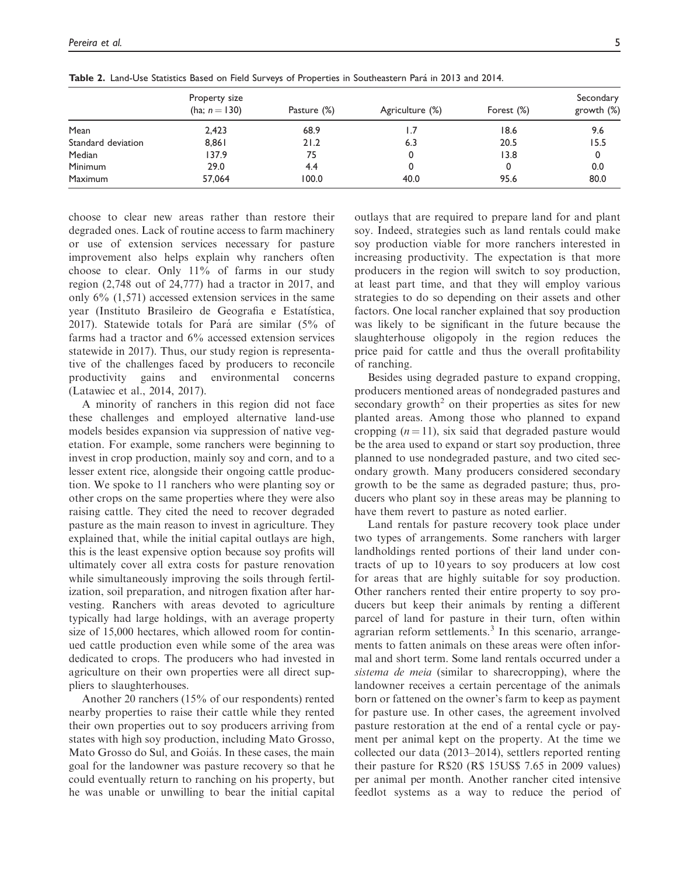|                    | Property size<br>(ha; $n = 130$ ) | Pasture (%) | Agriculture (%) | Forest (%) | Secondary<br>growth $(\%)$ |
|--------------------|-----------------------------------|-------------|-----------------|------------|----------------------------|
| <b>Mean</b>        | 2,423                             | 68.9        | ۱.7             | 18.6       | 9.6                        |
| Standard deviation | 8,861                             | 21.2        | 6.3             | 20.5       | 15.5                       |
| Median             | 137.9                             | 75          | 0               | 13.8       |                            |
| Minimum            | 29.0                              | 4.4         | 0               |            | 0.0                        |
| <b>Maximum</b>     | 57,064                            | 100.0       | 40.0            | 95.6       | 80.0                       |

Table 2. Land-Use Statistics Based on Field Surveys of Properties in Southeastern Pará in 2013 and 2014.

choose to clear new areas rather than restore their degraded ones. Lack of routine access to farm machinery or use of extension services necessary for pasture improvement also helps explain why ranchers often choose to clear. Only 11% of farms in our study region (2,748 out of 24,777) had a tractor in 2017, and only 6% (1,571) accessed extension services in the same year (Instituto Brasileiro de Geografia e Estatística, 2017). Statewide totals for Pará are similar (5% of farms had a tractor and 6% accessed extension services statewide in 2017). Thus, our study region is representative of the challenges faced by producers to reconcile productivity gains and environmental concerns (Latawiec et al., 2014, 2017).

A minority of ranchers in this region did not face these challenges and employed alternative land-use models besides expansion via suppression of native vegetation. For example, some ranchers were beginning to invest in crop production, mainly soy and corn, and to a lesser extent rice, alongside their ongoing cattle production. We spoke to 11 ranchers who were planting soy or other crops on the same properties where they were also raising cattle. They cited the need to recover degraded pasture as the main reason to invest in agriculture. They explained that, while the initial capital outlays are high, this is the least expensive option because soy profits will ultimately cover all extra costs for pasture renovation while simultaneously improving the soils through fertilization, soil preparation, and nitrogen fixation after harvesting. Ranchers with areas devoted to agriculture typically had large holdings, with an average property size of 15,000 hectares, which allowed room for continued cattle production even while some of the area was dedicated to crops. The producers who had invested in agriculture on their own properties were all direct suppliers to slaughterhouses.

Another 20 ranchers (15% of our respondents) rented nearby properties to raise their cattle while they rented their own properties out to soy producers arriving from states with high soy production, including Mato Grosso, Mato Grosso do Sul, and Goiás. In these cases, the main goal for the landowner was pasture recovery so that he could eventually return to ranching on his property, but he was unable or unwilling to bear the initial capital outlays that are required to prepare land for and plant soy. Indeed, strategies such as land rentals could make soy production viable for more ranchers interested in increasing productivity. The expectation is that more producers in the region will switch to soy production, at least part time, and that they will employ various strategies to do so depending on their assets and other factors. One local rancher explained that soy production was likely to be significant in the future because the slaughterhouse oligopoly in the region reduces the price paid for cattle and thus the overall profitability of ranching.

Besides using degraded pasture to expand cropping, producers mentioned areas of nondegraded pastures and secondary growth<sup>2</sup> on their properties as sites for new planted areas. Among those who planned to expand cropping  $(n = 11)$ , six said that degraded pasture would be the area used to expand or start soy production, three planned to use nondegraded pasture, and two cited secondary growth. Many producers considered secondary growth to be the same as degraded pasture; thus, producers who plant soy in these areas may be planning to have them revert to pasture as noted earlier.

Land rentals for pasture recovery took place under two types of arrangements. Some ranchers with larger landholdings rented portions of their land under contracts of up to 10 years to soy producers at low cost for areas that are highly suitable for soy production. Other ranchers rented their entire property to soy producers but keep their animals by renting a different parcel of land for pasture in their turn, often within agrarian reform settlements. $3$  In this scenario, arrangements to fatten animals on these areas were often informal and short term. Some land rentals occurred under a sistema de meia (similar to sharecropping), where the landowner receives a certain percentage of the animals born or fattened on the owner's farm to keep as payment for pasture use. In other cases, the agreement involved pasture restoration at the end of a rental cycle or payment per animal kept on the property. At the time we collected our data (2013–2014), settlers reported renting their pasture for R\$20 (R\$ 15US\$ 7.65 in 2009 values) per animal per month. Another rancher cited intensive feedlot systems as a way to reduce the period of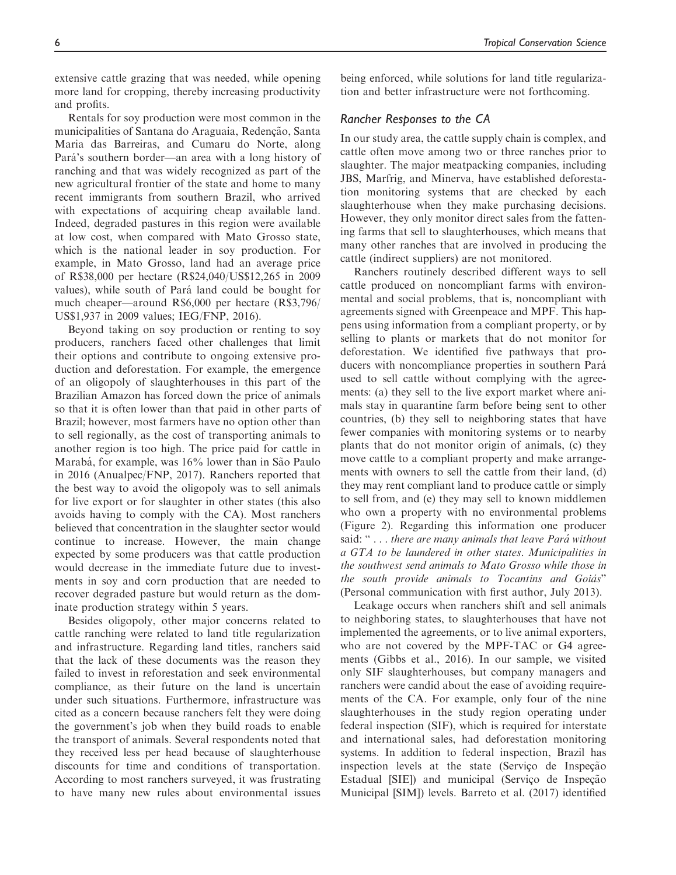extensive cattle grazing that was needed, while opening more land for cropping, thereby increasing productivity and profits.

Rentals for soy production were most common in the municipalities of Santana do Araguaia, Redenção, Santa Maria das Barreiras, and Cumaru do Norte, along Para´'s southern border—an area with a long history of ranching and that was widely recognized as part of the new agricultural frontier of the state and home to many recent immigrants from southern Brazil, who arrived with expectations of acquiring cheap available land. Indeed, degraded pastures in this region were available at low cost, when compared with Mato Grosso state, which is the national leader in soy production. For example, in Mato Grosso, land had an average price of R\$38,000 per hectare (R\$24,040/US\$12,265 in 2009 values), while south of Pará land could be bought for much cheaper—around R\$6,000 per hectare (R\$3,796/ US\$1,937 in 2009 values; IEG/FNP, 2016).

Beyond taking on soy production or renting to soy producers, ranchers faced other challenges that limit their options and contribute to ongoing extensive production and deforestation. For example, the emergence of an oligopoly of slaughterhouses in this part of the Brazilian Amazon has forced down the price of animals so that it is often lower than that paid in other parts of Brazil; however, most farmers have no option other than to sell regionally, as the cost of transporting animals to another region is too high. The price paid for cattle in Marabá, for example, was 16% lower than in São Paulo in 2016 (Anualpec/FNP, 2017). Ranchers reported that the best way to avoid the oligopoly was to sell animals for live export or for slaughter in other states (this also avoids having to comply with the CA). Most ranchers believed that concentration in the slaughter sector would continue to increase. However, the main change expected by some producers was that cattle production would decrease in the immediate future due to investments in soy and corn production that are needed to recover degraded pasture but would return as the dominate production strategy within 5 years.

Besides oligopoly, other major concerns related to cattle ranching were related to land title regularization and infrastructure. Regarding land titles, ranchers said that the lack of these documents was the reason they failed to invest in reforestation and seek environmental compliance, as their future on the land is uncertain under such situations. Furthermore, infrastructure was cited as a concern because ranchers felt they were doing the government's job when they build roads to enable the transport of animals. Several respondents noted that they received less per head because of slaughterhouse discounts for time and conditions of transportation. According to most ranchers surveyed, it was frustrating to have many new rules about environmental issues being enforced, while solutions for land title regularization and better infrastructure were not forthcoming.

## Rancher Responses to the CA

In our study area, the cattle supply chain is complex, and cattle often move among two or three ranches prior to slaughter. The major meatpacking companies, including JBS, Marfrig, and Minerva, have established deforestation monitoring systems that are checked by each slaughterhouse when they make purchasing decisions. However, they only monitor direct sales from the fattening farms that sell to slaughterhouses, which means that many other ranches that are involved in producing the cattle (indirect suppliers) are not monitored.

Ranchers routinely described different ways to sell cattle produced on noncompliant farms with environmental and social problems, that is, noncompliant with agreements signed with Greenpeace and MPF. This happens using information from a compliant property, or by selling to plants or markets that do not monitor for deforestation. We identified five pathways that producers with noncompliance properties in southern Pará used to sell cattle without complying with the agreements: (a) they sell to the live export market where animals stay in quarantine farm before being sent to other countries, (b) they sell to neighboring states that have fewer companies with monitoring systems or to nearby plants that do not monitor origin of animals, (c) they move cattle to a compliant property and make arrangements with owners to sell the cattle from their land, (d) they may rent compliant land to produce cattle or simply to sell from, and (e) they may sell to known middlemen who own a property with no environmental problems (Figure 2). Regarding this information one producer said: " . . . there are many animals that leave Pará without a GTA to be laundered in other states. Municipalities in the southwest send animals to Mato Grosso while those in the south provide animals to Tocantins and Goiás" (Personal communication with first author, July 2013).

Leakage occurs when ranchers shift and sell animals to neighboring states, to slaughterhouses that have not implemented the agreements, or to live animal exporters, who are not covered by the MPF-TAC or G4 agreements (Gibbs et al., 2016). In our sample, we visited only SIF slaughterhouses, but company managers and ranchers were candid about the ease of avoiding requirements of the CA. For example, only four of the nine slaughterhouses in the study region operating under federal inspection (SIF), which is required for interstate and international sales, had deforestation monitoring systems. In addition to federal inspection, Brazil has inspection levels at the state (Serviço de Inspeção Estadual [SIE]) and municipal (Serviço de Inspeção Municipal [SIM]) levels. Barreto et al. (2017) identified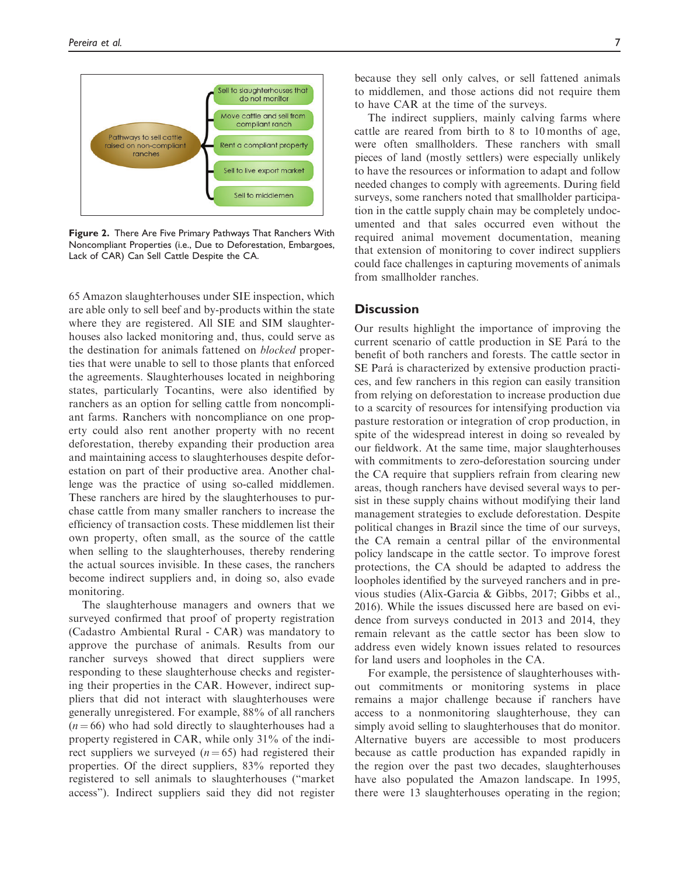

Figure 2. There Are Five Primary Pathways That Ranchers With Noncompliant Properties (i.e., Due to Deforestation, Embargoes, Lack of CAR) Can Sell Cattle Despite the CA.

65 Amazon slaughterhouses under SIE inspection, which are able only to sell beef and by-products within the state where they are registered. All SIE and SIM slaughterhouses also lacked monitoring and, thus, could serve as the destination for animals fattened on blocked properties that were unable to sell to those plants that enforced the agreements. Slaughterhouses located in neighboring states, particularly Tocantins, were also identified by ranchers as an option for selling cattle from noncompliant farms. Ranchers with noncompliance on one property could also rent another property with no recent deforestation, thereby expanding their production area and maintaining access to slaughterhouses despite deforestation on part of their productive area. Another challenge was the practice of using so-called middlemen. These ranchers are hired by the slaughterhouses to purchase cattle from many smaller ranchers to increase the efficiency of transaction costs. These middlemen list their own property, often small, as the source of the cattle when selling to the slaughterhouses, thereby rendering the actual sources invisible. In these cases, the ranchers become indirect suppliers and, in doing so, also evade monitoring.

The slaughterhouse managers and owners that we surveyed confirmed that proof of property registration (Cadastro Ambiental Rural - CAR) was mandatory to approve the purchase of animals. Results from our rancher surveys showed that direct suppliers were responding to these slaughterhouse checks and registering their properties in the CAR. However, indirect suppliers that did not interact with slaughterhouses were generally unregistered. For example, 88% of all ranchers  $(n = 66)$  who had sold directly to slaughterhouses had a property registered in CAR, while only 31% of the indirect suppliers we surveyed  $(n = 65)$  had registered their properties. Of the direct suppliers, 83% reported they registered to sell animals to slaughterhouses ("market access"). Indirect suppliers said they did not register because they sell only calves, or sell fattened animals to middlemen, and those actions did not require them to have CAR at the time of the surveys.

The indirect suppliers, mainly calving farms where cattle are reared from birth to 8 to 10 months of age, were often smallholders. These ranchers with small pieces of land (mostly settlers) were especially unlikely to have the resources or information to adapt and follow needed changes to comply with agreements. During field surveys, some ranchers noted that smallholder participation in the cattle supply chain may be completely undocumented and that sales occurred even without the required animal movement documentation, meaning that extension of monitoring to cover indirect suppliers could face challenges in capturing movements of animals from smallholder ranches.

## **Discussion**

Our results highlight the importance of improving the current scenario of cattle production in SE Para´ to the benefit of both ranchers and forests. The cattle sector in SE Pará is characterized by extensive production practices, and few ranchers in this region can easily transition from relying on deforestation to increase production due to a scarcity of resources for intensifying production via pasture restoration or integration of crop production, in spite of the widespread interest in doing so revealed by our fieldwork. At the same time, major slaughterhouses with commitments to zero-deforestation sourcing under the CA require that suppliers refrain from clearing new areas, though ranchers have devised several ways to persist in these supply chains without modifying their land management strategies to exclude deforestation. Despite political changes in Brazil since the time of our surveys, the CA remain a central pillar of the environmental policy landscape in the cattle sector. To improve forest protections, the CA should be adapted to address the loopholes identified by the surveyed ranchers and in previous studies (Alix-Garcia & Gibbs, 2017; Gibbs et al., 2016). While the issues discussed here are based on evidence from surveys conducted in 2013 and 2014, they remain relevant as the cattle sector has been slow to address even widely known issues related to resources for land users and loopholes in the CA.

For example, the persistence of slaughterhouses without commitments or monitoring systems in place remains a major challenge because if ranchers have access to a nonmonitoring slaughterhouse, they can simply avoid selling to slaughterhouses that do monitor. Alternative buyers are accessible to most producers because as cattle production has expanded rapidly in the region over the past two decades, slaughterhouses have also populated the Amazon landscape. In 1995, there were 13 slaughterhouses operating in the region;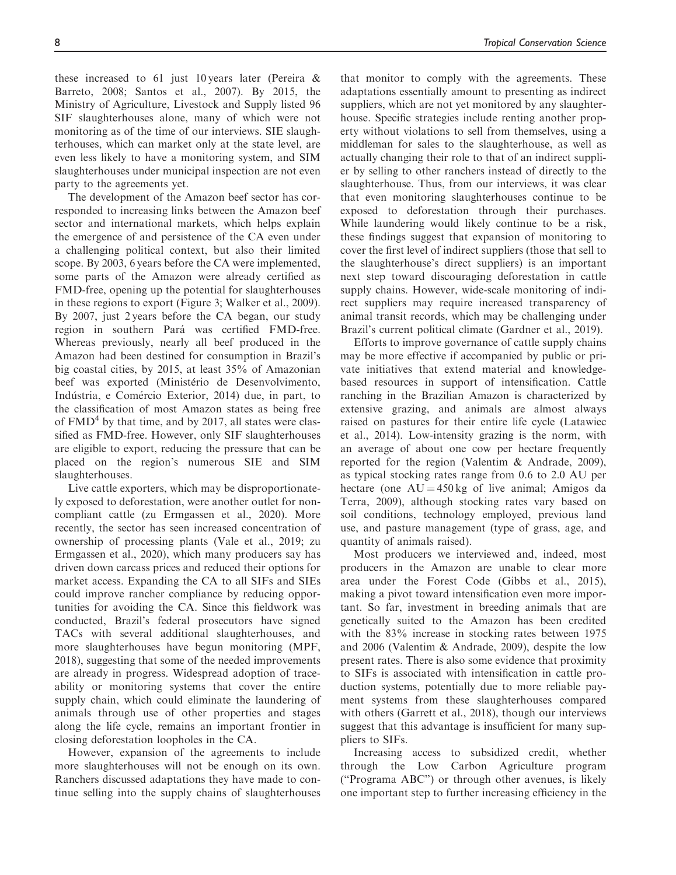these increased to 61 just 10 years later (Pereira &

Barreto, 2008; Santos et al., 2007). By 2015, the Ministry of Agriculture, Livestock and Supply listed 96 SIF slaughterhouses alone, many of which were not monitoring as of the time of our interviews. SIE slaughterhouses, which can market only at the state level, are even less likely to have a monitoring system, and SIM slaughterhouses under municipal inspection are not even party to the agreements yet.

The development of the Amazon beef sector has corresponded to increasing links between the Amazon beef sector and international markets, which helps explain the emergence of and persistence of the CA even under a challenging political context, but also their limited scope. By 2003, 6 years before the CA were implemented, some parts of the Amazon were already certified as FMD-free, opening up the potential for slaughterhouses in these regions to export (Figure 3; Walker et al., 2009). By 2007, just 2 years before the CA began, our study region in southern Pará was certified FMD-free. Whereas previously, nearly all beef produced in the Amazon had been destined for consumption in Brazil's big coastal cities, by 2015, at least 35% of Amazonian beef was exported (Ministério de Desenvolvimento, Indústria, e Comércio Exterior, 2014) due, in part, to the classification of most Amazon states as being free of  $FMD<sup>4</sup>$  by that time, and by 2017, all states were classified as FMD-free. However, only SIF slaughterhouses are eligible to export, reducing the pressure that can be placed on the region's numerous SIE and SIM slaughterhouses.

Live cattle exporters, which may be disproportionately exposed to deforestation, were another outlet for noncompliant cattle (zu Ermgassen et al., 2020). More recently, the sector has seen increased concentration of ownership of processing plants (Vale et al., 2019; zu Ermgassen et al., 2020), which many producers say has driven down carcass prices and reduced their options for market access. Expanding the CA to all SIFs and SIEs could improve rancher compliance by reducing opportunities for avoiding the CA. Since this fieldwork was conducted, Brazil's federal prosecutors have signed TACs with several additional slaughterhouses, and more slaughterhouses have begun monitoring (MPF, 2018), suggesting that some of the needed improvements are already in progress. Widespread adoption of traceability or monitoring systems that cover the entire supply chain, which could eliminate the laundering of animals through use of other properties and stages along the life cycle, remains an important frontier in closing deforestation loopholes in the CA.

However, expansion of the agreements to include more slaughterhouses will not be enough on its own. Ranchers discussed adaptations they have made to continue selling into the supply chains of slaughterhouses that monitor to comply with the agreements. These adaptations essentially amount to presenting as indirect suppliers, which are not yet monitored by any slaughterhouse. Specific strategies include renting another property without violations to sell from themselves, using a middleman for sales to the slaughterhouse, as well as actually changing their role to that of an indirect supplier by selling to other ranchers instead of directly to the slaughterhouse. Thus, from our interviews, it was clear that even monitoring slaughterhouses continue to be exposed to deforestation through their purchases. While laundering would likely continue to be a risk, these findings suggest that expansion of monitoring to cover the first level of indirect suppliers (those that sell to the slaughterhouse's direct suppliers) is an important next step toward discouraging deforestation in cattle supply chains. However, wide-scale monitoring of indirect suppliers may require increased transparency of animal transit records, which may be challenging under Brazil's current political climate (Gardner et al., 2019).

Efforts to improve governance of cattle supply chains may be more effective if accompanied by public or private initiatives that extend material and knowledgebased resources in support of intensification. Cattle ranching in the Brazilian Amazon is characterized by extensive grazing, and animals are almost always raised on pastures for their entire life cycle (Latawiec et al., 2014). Low-intensity grazing is the norm, with an average of about one cow per hectare frequently reported for the region (Valentim & Andrade, 2009), as typical stocking rates range from 0.6 to 2.0 AU per hectare (one  $AU = 450 \text{ kg}$  of live animal; Amigos da Terra, 2009), although stocking rates vary based on soil conditions, technology employed, previous land use, and pasture management (type of grass, age, and quantity of animals raised).

Most producers we interviewed and, indeed, most producers in the Amazon are unable to clear more area under the Forest Code (Gibbs et al., 2015), making a pivot toward intensification even more important. So far, investment in breeding animals that are genetically suited to the Amazon has been credited with the 83% increase in stocking rates between 1975 and 2006 (Valentim & Andrade, 2009), despite the low present rates. There is also some evidence that proximity to SIFs is associated with intensification in cattle production systems, potentially due to more reliable payment systems from these slaughterhouses compared with others (Garrett et al., 2018), though our interviews suggest that this advantage is insufficient for many suppliers to SIFs.

Increasing access to subsidized credit, whether through the Low Carbon Agriculture program ("Programa ABC") or through other avenues, is likely one important step to further increasing efficiency in the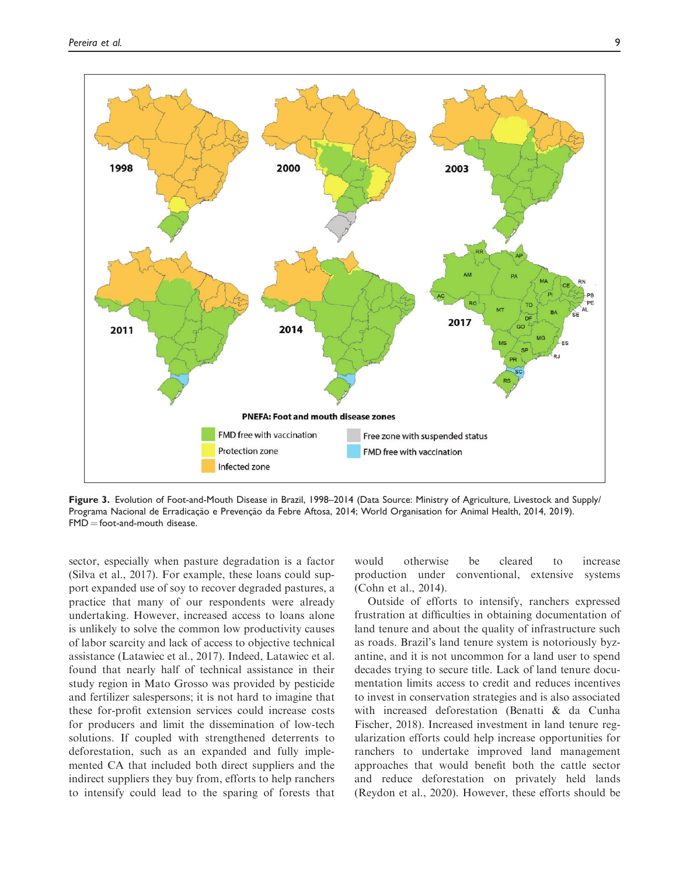

Figure 3. Evolution of Foot-and-Mouth Disease in Brazil, 1998–2014 (Data Source: Ministry of Agriculture, Livestock and Supply/ Programa Nacional de Erradicação e Prevenção da Febre Aftosa, 2014; World Organisation for Animal Health, 2014, 2019).  $FMD =$  foot-and-mouth disease.

sector, especially when pasture degradation is a factor (Silva et al., 2017). For example, these loans could support expanded use of soy to recover degraded pastures, a practice that many of our respondents were already undertaking. However, increased access to loans alone is unlikely to solve the common low productivity causes of labor scarcity and lack of access to objective technical assistance (Latawiec et al., 2017). Indeed, Latawiec et al. found that nearly half of technical assistance in their study region in Mato Grosso was provided by pesticide and fertilizer salespersons; it is not hard to imagine that these for-profit extension services could increase costs for producers and limit the dissemination of low-tech solutions. If coupled with strengthened deterrents to deforestation, such as an expanded and fully implemented CA that included both direct suppliers and the indirect suppliers they buy from, efforts to help ranchers to intensify could lead to the sparing of forests that

would otherwise be cleared to increase production under conventional, extensive systems (Cohn et al., 2014).

Outside of efforts to intensify, ranchers expressed frustration at difficulties in obtaining documentation of land tenure and about the quality of infrastructure such as roads. Brazil's land tenure system is notoriously byzantine, and it is not uncommon for a land user to spend decades trying to secure title. Lack of land tenure documentation limits access to credit and reduces incentives to invest in conservation strategies and is also associated with increased deforestation (Benatti & da Cunha Fischer, 2018). Increased investment in land tenure regularization efforts could help increase opportunities for ranchers to undertake improved land management approaches that would benefit both the cattle sector and reduce deforestation on privately held lands (Reydon et al., 2020). However, these efforts should be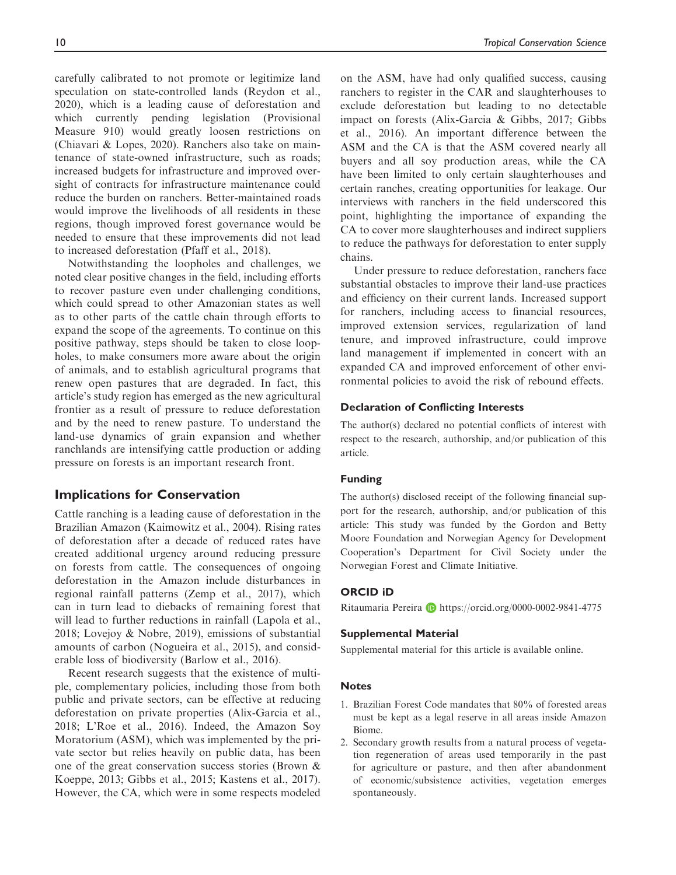carefully calibrated to not promote or legitimize land speculation on state-controlled lands (Reydon et al., 2020), which is a leading cause of deforestation and which currently pending legislation (Provisional Measure 910) would greatly loosen restrictions on (Chiavari & Lopes, 2020). Ranchers also take on maintenance of state-owned infrastructure, such as roads; increased budgets for infrastructure and improved oversight of contracts for infrastructure maintenance could reduce the burden on ranchers. Better-maintained roads would improve the livelihoods of all residents in these regions, though improved forest governance would be needed to ensure that these improvements did not lead to increased deforestation (Pfaff et al., 2018).

Notwithstanding the loopholes and challenges, we noted clear positive changes in the field, including efforts to recover pasture even under challenging conditions, which could spread to other Amazonian states as well as to other parts of the cattle chain through efforts to expand the scope of the agreements. To continue on this positive pathway, steps should be taken to close loopholes, to make consumers more aware about the origin of animals, and to establish agricultural programs that renew open pastures that are degraded. In fact, this article's study region has emerged as the new agricultural frontier as a result of pressure to reduce deforestation and by the need to renew pasture. To understand the land-use dynamics of grain expansion and whether ranchlands are intensifying cattle production or adding pressure on forests is an important research front.

## Implications for Conservation

Cattle ranching is a leading cause of deforestation in the Brazilian Amazon (Kaimowitz et al., 2004). Rising rates of deforestation after a decade of reduced rates have created additional urgency around reducing pressure on forests from cattle. The consequences of ongoing deforestation in the Amazon include disturbances in regional rainfall patterns (Zemp et al., 2017), which can in turn lead to diebacks of remaining forest that will lead to further reductions in rainfall (Lapola et al., 2018; Lovejoy & Nobre, 2019), emissions of substantial amounts of carbon (Nogueira et al., 2015), and considerable loss of biodiversity (Barlow et al., 2016).

Recent research suggests that the existence of multiple, complementary policies, including those from both public and private sectors, can be effective at reducing deforestation on private properties (Alix-Garcia et al., 2018; L'Roe et al., 2016). Indeed, the Amazon Soy Moratorium (ASM), which was implemented by the private sector but relies heavily on public data, has been one of the great conservation success stories (Brown & Koeppe, 2013; Gibbs et al., 2015; Kastens et al., 2017). However, the CA, which were in some respects modeled on the ASM, have had only qualified success, causing ranchers to register in the CAR and slaughterhouses to exclude deforestation but leading to no detectable impact on forests (Alix-Garcia & Gibbs, 2017; Gibbs et al., 2016). An important difference between the ASM and the CA is that the ASM covered nearly all buyers and all soy production areas, while the CA have been limited to only certain slaughterhouses and certain ranches, creating opportunities for leakage. Our interviews with ranchers in the field underscored this point, highlighting the importance of expanding the CA to cover more slaughterhouses and indirect suppliers to reduce the pathways for deforestation to enter supply chains.

Under pressure to reduce deforestation, ranchers face substantial obstacles to improve their land-use practices and efficiency on their current lands. Increased support for ranchers, including access to financial resources, improved extension services, regularization of land tenure, and improved infrastructure, could improve land management if implemented in concert with an expanded CA and improved enforcement of other environmental policies to avoid the risk of rebound effects.

#### Declaration of Conflicting Interests

The author(s) declared no potential conflicts of interest with respect to the research, authorship, and/or publication of this article.

## Funding

The author(s) disclosed receipt of the following financial support for the research, authorship, and/or publication of this article: This study was funded by the Gordon and Betty Moore Foundation and Norwegian Agency for Development Cooperation's Department for Civil Society under the Norwegian Forest and Climate Initiative.

#### ORCID iD

Ritaumaria Pereira D <https://orcid.org/0000-0002-9841-4775>

#### Supplemental Material

Supplemental material for this article is available online.

#### **Notes**

- 1. Brazilian Forest Code mandates that 80% of forested areas must be kept as a legal reserve in all areas inside Amazon Biome.
- 2. Secondary growth results from a natural process of vegetation regeneration of areas used temporarily in the past for agriculture or pasture, and then after abandonment of economic/subsistence activities, vegetation emerges spontaneously.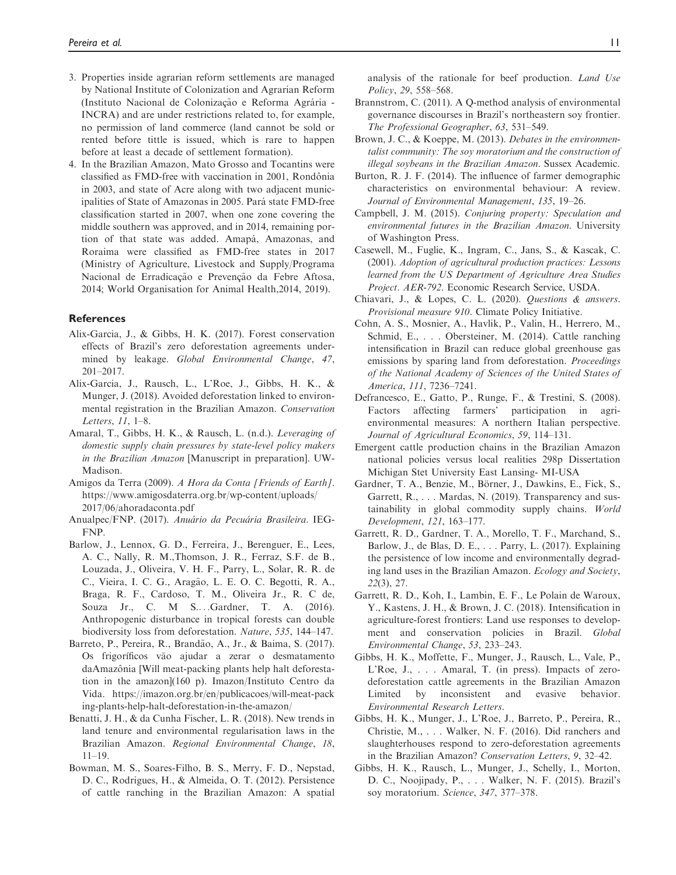- 3. Properties inside agrarian reform settlements are managed by National Institute of Colonization and Agrarian Reform (Instituto Nacional de Colonização e Reforma Agrária -INCRA) and are under restrictions related to, for example, no permission of land commerce (land cannot be sold or rented before tittle is issued, which is rare to happen before at least a decade of settlement formation).
- 4. In the Brazilian Amazon, Mato Grosso and Tocantins were classified as FMD-free with vaccination in 2001, Rondônia in 2003, and state of Acre along with two adjacent municipalities of State of Amazonas in 2005. Pará state FMD-free classification started in 2007, when one zone covering the middle southern was approved, and in 2014, remaining portion of that state was added. Amapá, Amazonas, and Roraima were classified as FMD-free states in 2017 (Ministry of Agriculture, Livestock and Supply/Programa Nacional de Erradicação e Prevenção da Febre Aftosa, 2014; World Organisation for Animal Health,2014, 2019).

#### **References**

- Alix-Garcia, J., & Gibbs, H. K. (2017). Forest conservation effects of Brazil's zero deforestation agreements undermined by leakage. Global Environmental Change, 47, 201–2017.
- Alix-Garcia, J., Rausch, L., L'Roe, J., Gibbs, H. K., & Munger, J. (2018). Avoided deforestation linked to environmental registration in the Brazilian Amazon. Conservation Letters, 11, 1–8.
- Amaral, T., Gibbs, H. K., & Rausch, L. (n.d.). Leveraging of domestic supply chain pressures by state-level policy makers in the Brazilian Amazon [Manuscript in preparation]. UW-Madison.
- Amigos da Terra (2009). A Hora da Conta [Friends of Earth]. [https://www.amigosdaterra.org.br/wp-content/uploads/](https://www.amigosdaterra.org.br/wp-content/uploads/2017/06/ahoradaconta.pdf) [2017/06/ahoradaconta.pdf](https://www.amigosdaterra.org.br/wp-content/uploads/2017/06/ahoradaconta.pdf)
- Anualpec/FNP. (2017). Anuário da Pecuária Brasileira. IEG-FNP.
- Barlow, J., Lennox, G. D., Ferreira, J., Berenguer, E., Lees, A. C., Nally, R. M.,Thomson, J. R., Ferraz, S.F. de B., Louzada, J., Oliveira, V. H. F., Parry, L., Solar, R. R. de C., Vieira, I. C. G., Aragão, L. E. O. C. Begotti, R. A., Braga, R. F., Cardoso, T. M., Oliveira Jr., R. C de, Souza Jr., C. M S....Gardner, T. A. (2016). Anthropogenic disturbance in tropical forests can double biodiversity loss from deforestation. Nature, 535, 144–147.
- Barreto, P., Pereira, R., Brandão, A., Jr., & Baima, S. (2017). Os frigoríficos vão ajudar a zerar o desmatamento daAmazônia [Will meat-packing plants help halt deforestation in the amazon](160 p). Imazon/Instituto Centro da Vida. [https://imazon.org.br/en/publicacoes/will-meat-pack](https://imazon.org.br/en/publicacoes/will-meat-packing-plants-help-halt-deforestation-in-the-amazon/) [ing-plants-help-halt-deforestation-in-the-amazon/](https://imazon.org.br/en/publicacoes/will-meat-packing-plants-help-halt-deforestation-in-the-amazon/)
- Benatti, J. H., & da Cunha Fischer, L. R. (2018). New trends in land tenure and environmental regularisation laws in the Brazilian Amazon. Regional Environmental Change, 18, 11–19.
- Bowman, M. S., Soares-Filho, B. S., Merry, F. D., Nepstad, D. C., Rodrigues, H., & Almeida, O. T. (2012). Persistence of cattle ranching in the Brazilian Amazon: A spatial

analysis of the rationale for beef production. Land Use Policy, 29, 558–568.

- Brannstrom, C. (2011). A Q-method analysis of environmental governance discourses in Brazil's northeastern soy frontier. The Professional Geographer, 63, 531–549.
- Brown, J. C., & Koeppe, M. (2013). Debates in the environmentalist community: The soy moratorium and the construction of illegal soybeans in the Brazilian Amazon. Sussex Academic.
- Burton, R. J. F. (2014). The influence of farmer demographic characteristics on environmental behaviour: A review. Journal of Environmental Management, 135, 19–26.
- Campbell, J. M. (2015). Conjuring property: Speculation and environmental futures in the Brazilian Amazon. University of Washington Press.
- Casewell, M., Fuglie, K., Ingram, C., Jans, S., & Kascak, C. (2001). Adoption of agricultural production practices: Lessons learned from the US Department of Agriculture Area Studies Project. AER-792. Economic Research Service, USDA.
- Chiavari, J., & Lopes, C. L. (2020). Questions & answers. Provisional measure 910. Climate Policy Initiative.
- Cohn, A. S., Mosnier, A., Havlik, P., Valin, H., Herrero, M., Schmid, E., . . . Obersteiner, M. (2014). Cattle ranching intensification in Brazil can reduce global greenhouse gas emissions by sparing land from deforestation. Proceedings of the National Academy of Sciences of the United States of America, 111, 7236–7241.
- Defrancesco, E., Gatto, P., Runge, F., & Trestini, S. (2008). Factors affecting farmers' participation in agrienvironmental measures: A northern Italian perspective. Journal of Agricultural Economics, 59, 114–131.
- Emergent cattle production chains in the Brazilian Amazon national policies versus local realities 298p Dissertation Michigan Stet University East Lansing- MI-USA
- Gardner, T. A., Benzie, M., Börner, J., Dawkins, E., Fick, S., Garrett, R., . . . Mardas, N. (2019). Transparency and sustainability in global commodity supply chains. World Development, 121, 163–177.
- Garrett, R. D., Gardner, T. A., Morello, T. F., Marchand, S., Barlow, J., de Blas, D. E., . . . Parry, L. (2017). Explaining the persistence of low income and environmentally degrading land uses in the Brazilian Amazon. Ecology and Society, 22(3), 27.
- Garrett, R. D., Koh, I., Lambin, E. F., Le Polain de Waroux, Y., Kastens, J. H., & Brown, J. C. (2018). Intensification in agriculture-forest frontiers: Land use responses to development and conservation policies in Brazil. Global Environmental Change, 53, 233–243.
- Gibbs, H. K., Moffette, F., Munger, J., Rausch, L., Vale, P., L'Roe, J., . . . Amaral, T. (in press). Impacts of zerodeforestation cattle agreements in the Brazilian Amazon Limited by inconsistent and evasive behavior. Environmental Research Letters.
- Gibbs, H. K., Munger, J., L'Roe, J., Barreto, P., Pereira, R., Christie, M., . . . Walker, N. F. (2016). Did ranchers and slaughterhouses respond to zero-deforestation agreements in the Brazilian Amazon? Conservation Letters, 9, 32–42.
- Gibbs, H. K., Rausch, L., Munger, J., Schelly, I., Morton, D. C., Noojipady, P., . . . Walker, N. F. (2015). Brazil's soy moratorium. Science, 347, 377–378.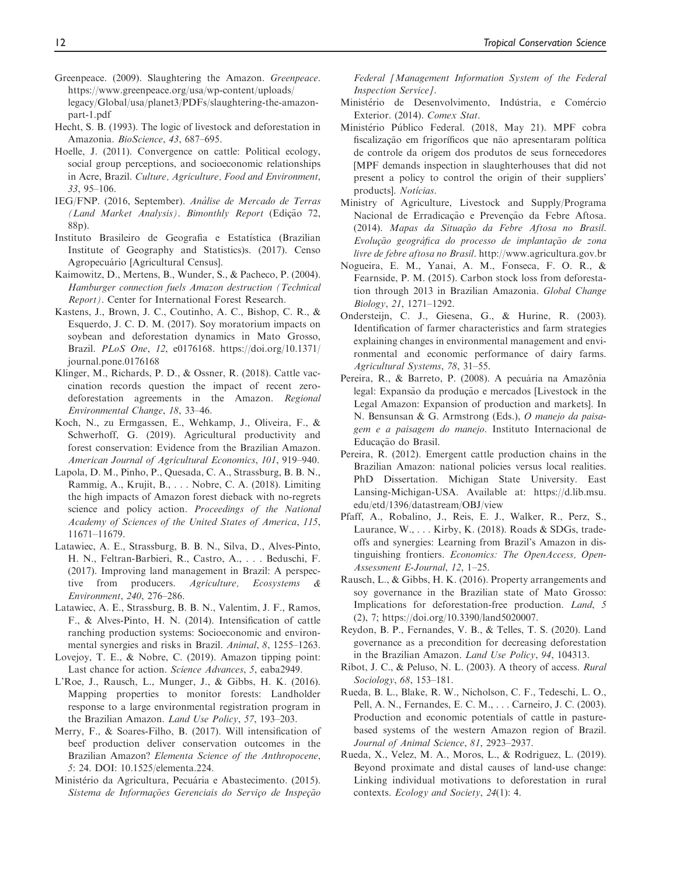- Greenpeace. (2009). Slaughtering the Amazon. Greenpeace. [https://www.greenpeace.org/usa/wp-content/uploads/](https://www.greenpeace.org/usa/wp-content/uploads/legacy/Global/usa/planet3/PDFs/slaughtering-the-amazon-part-1.pdf) [legacy/Global/usa/planet3/PDFs/slaughtering-the-amazon](https://www.greenpeace.org/usa/wp-content/uploads/legacy/Global/usa/planet3/PDFs/slaughtering-the-amazon-part-1.pdf)[part-1.pdf](https://www.greenpeace.org/usa/wp-content/uploads/legacy/Global/usa/planet3/PDFs/slaughtering-the-amazon-part-1.pdf)
- Hecht, S. B. (1993). The logic of livestock and deforestation in Amazonia. BioScience, 43, 687–695.
- Hoelle, J. (2011). Convergence on cattle: Political ecology, social group perceptions, and socioeconomic relationships in Acre, Brazil. Culture, Agriculture, Food and Environment, 33, 95–106.
- IEG/FNP. (2016, September). Análise de Mercado de Terras (Land Market Analysis). Bimonthly Report (Edição 72, 88p).
- Instituto Brasileiro de Geografia e Estatística (Brazilian Institute of Geography and Statistics)s. (2017). Censo Agropecuário [Agricultural Census].
- Kaimowitz, D., Mertens, B., Wunder, S., & Pacheco, P. (2004). Hamburger connection fuels Amazon destruction (Technical Report). Center for International Forest Research.
- Kastens, J., Brown, J. C., Coutinho, A. C., Bishop, C. R., & Esquerdo, J. C. D. M. (2017). Soy moratorium impacts on soybean and deforestation dynamics in Mato Grosso, Brazil. PLoS One, 12, e0176168. [https://doi.org/10.1371/](https://doi.org/10.1371/journal.pone.0176168) [journal.pone.0176168](https://doi.org/10.1371/journal.pone.0176168)
- Klinger, M., Richards, P. D., & Ossner, R. (2018). Cattle vaccination records question the impact of recent zerodeforestation agreements in the Amazon. Regional Environmental Change, 18, 33–46.
- Koch, N., zu Ermgassen, E., Wehkamp, J., Oliveira, F., & Schwerhoff, G. (2019). Agricultural productivity and forest conservation: Evidence from the Brazilian Amazon. American Journal of Agricultural Economics, 101, 919–940.
- Lapola, D. M., Pinho, P., Quesada, C. A., Strassburg, B. B. N., Rammig, A., Krujit, B., . . . Nobre, C. A. (2018). Limiting the high impacts of Amazon forest dieback with no-regrets science and policy action. Proceedings of the National Academy of Sciences of the United States of America, 115, 11671–11679.
- Latawiec, A. E., Strassburg, B. B. N., Silva, D., Alves-Pinto, H. N., Feltran-Barbieri, R., Castro, A., . . . Beduschi, F. (2017). Improving land management in Brazil: A perspective from producers. Agriculture, Ecosystems & Environment, 240, 276–286.
- Latawiec, A. E., Strassburg, B. B. N., Valentim, J. F., Ramos, F., & Alves-Pinto, H. N. (2014). Intensification of cattle ranching production systems: Socioeconomic and environmental synergies and risks in Brazil. Animal, 8, 1255–1263.
- Lovejoy, T. E., & Nobre, C. (2019). Amazon tipping point: Last chance for action. Science Advances, 5, eaba2949.
- L'Roe, J., Rausch, L., Munger, J., & Gibbs, H. K. (2016). Mapping properties to monitor forests: Landholder response to a large environmental registration program in the Brazilian Amazon. Land Use Policy, 57, 193–203.
- Merry, F., & Soares-Filho, B. (2017). Will intensification of beef production deliver conservation outcomes in the Brazilian Amazon? Elementa Science of the Anthropocene, 5: 24. DOI: 10.1525/elementa.224.
- Ministério da Agricultura, Pecuária e Abastecimento. (2015). Sistema de Informações Gerenciais do Serviço de Inspeção

Federal [Management Information System of the Federal Inspection Service].

- Ministério de Desenvolvimento, Indústria, e Comércio Exterior. (2014). Comex Stat.
- Ministério Público Federal. (2018, May 21). MPF cobra fiscalização em frigoríficos que não apresentaram política de controle da origem dos produtos de seus fornecedores [MPF demands inspection in slaughterhouses that did not present a policy to control the origin of their suppliers' products]. Notícias.
- Ministry of Agriculture, Livestock and Supply/Programa Nacional de Erradicação e Prevenção da Febre Aftosa. (2014). Mapas da Situação da Febre Aftosa no Brasil. Evolução geográfica do processo de implantação de zona livre de febre aftosa no Brasil.<http://www.agricultura.gov.br>
- Nogueira, E. M., Yanai, A. M., Fonseca, F. O. R., & Fearnside, P. M. (2015). Carbon stock loss from deforestation through 2013 in Brazilian Amazonia. Global Change Biology, 21, 1271–1292.
- Ondersteijn, C. J., Giesena, G., & Hurine, R. (2003). Identification of farmer characteristics and farm strategies explaining changes in environmental management and environmental and economic performance of dairy farms. Agricultural Systems, 78, 31–55.
- Pereira, R., & Barreto, P. (2008). A pecuária na Amazônia legal: Expansão da produção e mercados [Livestock in the Legal Amazon: Expansion of production and markets]. In N. Bensunsan & G. Armstrong (Eds.), O manejo da paisagem e a paisagem do manejo. Instituto Internacional de Educação do Brasil.
- Pereira, R. (2012). Emergent cattle production chains in the Brazilian Amazon: national policies versus local realities. PhD Dissertation. Michigan State University. East Lansing-Michigan-USA. Available at: https://d.lib.msu. edu/etd/1396/datastream/OBJ/view
- Pfaff, A., Robalino, J., Reis, E. J., Walker, R., Perz, S., Laurance,  $W_{1}, \ldots$  Kirby, K. (2018). Roads & SDGs, tradeoffs and synergies: Learning from Brazil's Amazon in distinguishing frontiers. Economics: The OpenAccess, Open-Assessment E-Journal, 12, 1–25.
- Rausch, L., & Gibbs, H. K. (2016). Property arrangements and soy governance in the Brazilian state of Mato Grosso: Implications for deforestation-free production. Land, 5 (2), 7; [https://doi.org/10.3390/land5020007.](https://doi.org/10.3390/land5020007)
- Reydon, B. P., Fernandes, V. B., & Telles, T. S. (2020). Land governance as a precondition for decreasing deforestation in the Brazilian Amazon. Land Use Policy, 94, 104313.
- Ribot, J. C., & Peluso, N. L. (2003). A theory of access. Rural Sociology, 68, 153–181.
- Rueda, B. L., Blake, R. W., Nicholson, C. F., Tedeschi, L. O., Pell, A. N., Fernandes, E. C. M., . . . Carneiro, J. C. (2003). Production and economic potentials of cattle in pasturebased systems of the western Amazon region of Brazil. Journal of Animal Science, 81, 2923–2937.
- Rueda, X., Velez, M. A., Moros, L., & Rodriguez, L. (2019). Beyond proximate and distal causes of land-use change: Linking individual motivations to deforestation in rural contexts. Ecology and Society, 24(1): 4.